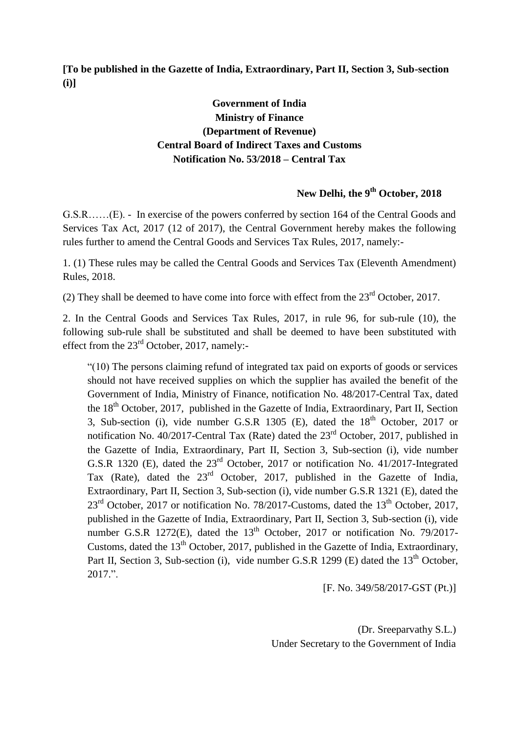**[To be published in the Gazette of India, Extraordinary, Part II, Section 3, Sub-section (i)]**

## **Government of India Ministry of Finance (Department of Revenue) Central Board of Indirect Taxes and Customs Notification No. 53/2018 – Central Tax**

## **New Delhi, the 9 th October, 2018**

G.S.R……(E). - In exercise of the powers conferred by section 164 of the Central Goods and Services Tax Act, 2017 (12 of 2017), the Central Government hereby makes the following rules further to amend the Central Goods and Services Tax Rules, 2017, namely:-

1. (1) These rules may be called the Central Goods and Services Tax (Eleventh Amendment) Rules, 2018.

(2) They shall be deemed to have come into force with effect from the  $23<sup>rd</sup>$  October, 2017.

2. In the Central Goods and Services Tax Rules, 2017, in rule 96, for sub-rule (10), the following sub-rule shall be substituted and shall be deemed to have been substituted with effect from the 23<sup>rd</sup> October, 2017, namely:-

"(10) The persons claiming refund of integrated tax paid on exports of goods or services should not have received supplies on which the supplier has availed the benefit of the Government of India, Ministry of Finance, notification No. 48/2017-Central Tax, dated the  $18<sup>th</sup>$  October, 2017, published in the Gazette of India, Extraordinary, Part II, Section 3, Sub-section (i), vide number G.S.R 1305 (E), dated the  $18<sup>th</sup>$  October, 2017 or notification No. 40/2017-Central Tax (Rate) dated the  $23<sup>rd</sup>$  October, 2017, published in the Gazette of India, Extraordinary, Part II, Section 3, Sub-section (i), vide number G.S.R 1320 (E), dated the 23rd October, 2017 or notification No. 41/2017-Integrated Tax (Rate), dated the 23rd October, 2017, published in the Gazette of India, Extraordinary, Part II, Section 3, Sub-section (i), vide number G.S.R 1321 (E), dated the  $23<sup>rd</sup>$  October, 2017 or notification No. 78/2017-Customs, dated the 13<sup>th</sup> October, 2017, published in the Gazette of India, Extraordinary, Part II, Section 3, Sub-section (i), vide number G.S.R 1272(E), dated the  $13<sup>th</sup>$  October, 2017 or notification No. 79/2017-Customs, dated the  $13<sup>th</sup>$  October, 2017, published in the Gazette of India, Extraordinary, Part II, Section 3, Sub-section (i), vide number G.S.R 1299 (E) dated the 13<sup>th</sup> October. 2017.".

[F. No. 349/58/2017-GST (Pt.)]

(Dr. Sreeparvathy S.L.) Under Secretary to the Government of India